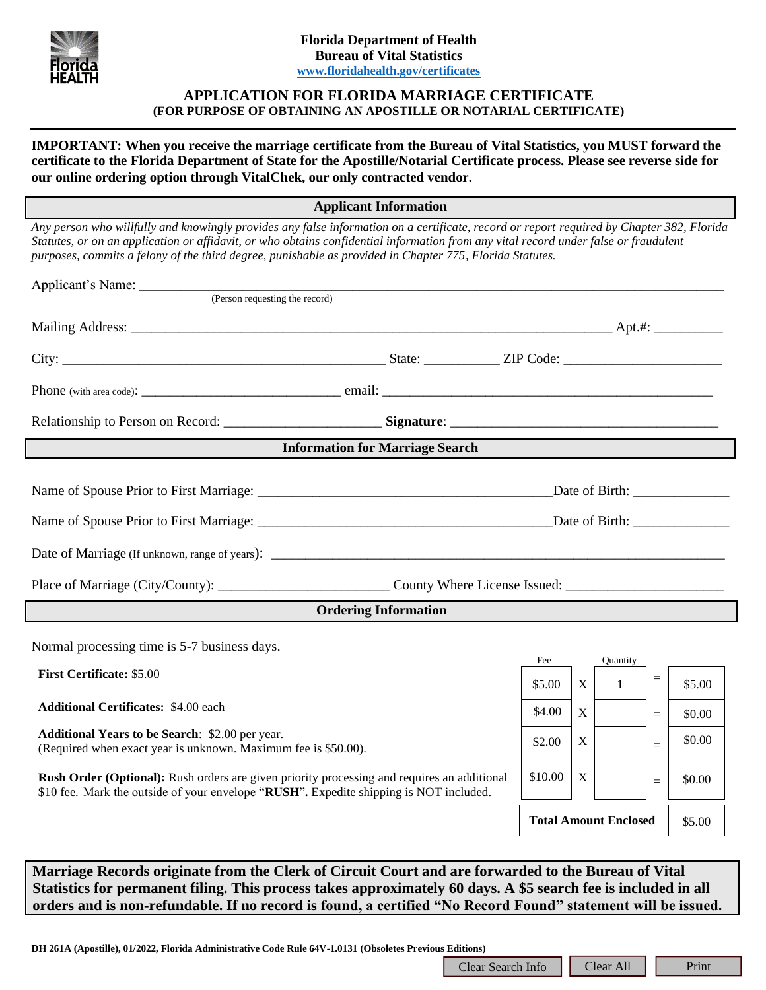

## **APPLICATION FOR FLORIDA MARRIAGE CERTIFICATE (FOR PURPOSE OF OBTAINING AN APOSTILLE OR NOTARIAL CERTIFICATE)**

**IMPORTANT: When you receive the marriage certificate from the Bureau of Vital Statistics, you MUST forward the certificate to the Florida Department of State for the Apostille/Notarial Certificate process. Please see reverse side for our online ordering option through VitalChek, our only contracted vendor.**

**Applicant Information**

*Any person who willfully and knowingly provides any false information on a certificate, record or report required by Chapter 382, Florida Statutes, or on an application or affidavit, or who obtains confidential information from any vital record under false or fraudulent purposes, commits a felony of the third degree, punishable as provided in Chapter 775, Florida Statutes.*

| Applicant's Name: (Person requesting the record)                                                                                                                                                                                                                                                                                      |                   |                                        |              |               |                 |        |
|---------------------------------------------------------------------------------------------------------------------------------------------------------------------------------------------------------------------------------------------------------------------------------------------------------------------------------------|-------------------|----------------------------------------|--------------|---------------|-----------------|--------|
|                                                                                                                                                                                                                                                                                                                                       |                   |                                        |              |               |                 |        |
|                                                                                                                                                                                                                                                                                                                                       |                   |                                        |              |               |                 |        |
|                                                                                                                                                                                                                                                                                                                                       |                   |                                        |              |               |                 |        |
|                                                                                                                                                                                                                                                                                                                                       |                   |                                        |              |               |                 |        |
| <b>Information for Marriage Search</b>                                                                                                                                                                                                                                                                                                |                   |                                        |              |               |                 |        |
|                                                                                                                                                                                                                                                                                                                                       |                   |                                        |              |               |                 |        |
|                                                                                                                                                                                                                                                                                                                                       |                   |                                        |              |               |                 |        |
|                                                                                                                                                                                                                                                                                                                                       |                   |                                        |              |               |                 |        |
| <b>Ordering Information</b>                                                                                                                                                                                                                                                                                                           |                   |                                        |              |               |                 |        |
| Normal processing time is 5-7 business days.                                                                                                                                                                                                                                                                                          |                   |                                        |              |               |                 |        |
| <b>First Certificate: \$5.00</b>                                                                                                                                                                                                                                                                                                      |                   | Fee<br>\$5.00                          | $\mathbf{X}$ | Quantity<br>1 | $\equiv$        | \$5.00 |
| <b>Additional Certificates: \$4.00 each</b>                                                                                                                                                                                                                                                                                           |                   | \$4.00                                 | X            |               | $=$             | \$0.00 |
| <b>Additional Years to be Search:</b> \$2.00 per year.<br>(Required when exact year is unknown. Maximum fee is \$50.00).                                                                                                                                                                                                              |                   | \$2.00                                 | X            |               | $=$             | \$0.00 |
| <b>Rush Order (Optional):</b> Rush orders are given priority processing and requires an additional<br>\$10 fee. Mark the outside of your envelope "RUSH". Expedite shipping is NOT included.                                                                                                                                          |                   | \$10.00                                | X            |               | $\quad \  \  =$ | \$0.00 |
|                                                                                                                                                                                                                                                                                                                                       |                   | <b>Total Amount Enclosed</b><br>\$5.00 |              |               |                 |        |
|                                                                                                                                                                                                                                                                                                                                       |                   |                                        |              |               |                 |        |
| Marriage Records originate from the Clerk of Circuit Court and are forwarded to the Bureau of Vital<br>Statistics for permanent filing. This process takes approximately 60 days. A \$5 search fee is included in all<br>orders and is non-refundable. If no record is found, a certified "No Record Found" statement will be issued. |                   |                                        |              |               |                 |        |
|                                                                                                                                                                                                                                                                                                                                       |                   |                                        |              |               |                 |        |
| DH 261A (Apostille), 01/2022, Florida Administrative Code Rule 64V-1.0131 (Obsoletes Previous Editions)                                                                                                                                                                                                                               | Clear Search Info |                                        |              | Clear All     |                 | Print  |